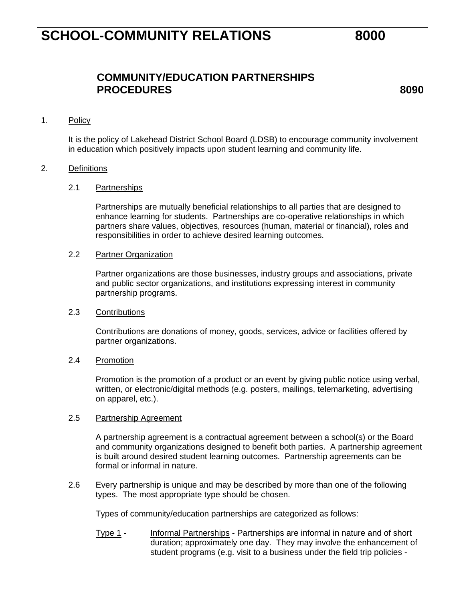### **COMMUNITY/EDUCATION PARTNERSHIPS**  PROCEDURES 8090

#### 1. Policy

It is the policy of Lakehead District School Board (LDSB) to encourage community involvement in education which positively impacts upon student learning and community life.

### 2. Definitions

#### 2.1 Partnerships

Partnerships are mutually beneficial relationships to all parties that are designed to enhance learning for students. Partnerships are co-operative relationships in which partners share values, objectives, resources (human, material or financial), roles and responsibilities in order to achieve desired learning outcomes.

#### 2.2 Partner Organization

Partner organizations are those businesses, industry groups and associations, private and public sector organizations, and institutions expressing interest in community partnership programs.

#### 2.3 Contributions

Contributions are donations of money, goods, services, advice or facilities offered by partner organizations.

#### 2.4 Promotion

Promotion is the promotion of a product or an event by giving public notice using verbal, written, or electronic/digital methods (e.g. posters, mailings, telemarketing, advertising on apparel, etc.).

#### 2.5 Partnership Agreement

A partnership agreement is a contractual agreement between a school(s) or the Board and community organizations designed to benefit both parties. A partnership agreement is built around desired student learning outcomes. Partnership agreements can be formal or informal in nature.

2.6 Every partnership is unique and may be described by more than one of the following types. The most appropriate type should be chosen.

Types of community/education partnerships are categorized as follows:

Type 1 - Informal Partnerships - Partnerships are informal in nature and of short duration; approximately one day. They may involve the enhancement of student programs (e.g. visit to a business under the field trip policies -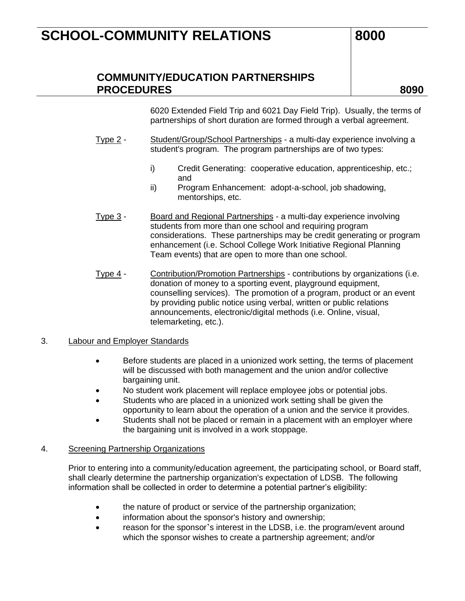## **COMMUNITY/EDUCATION PARTNERSHIPS**  PROCEDURES 8090

6020 Extended Field Trip and 6021 Day Field Trip). Usually, the terms of partnerships of short duration are formed through a verbal agreement.

- Type 2 Student/Group/School Partnerships a multi-day experience involving a student's program. The program partnerships are of two types:
	- i) Credit Generating: cooperative education, apprenticeship, etc.; and
	- ii) Program Enhancement: adopt-a-school, job shadowing, mentorships, etc.
- Type 3 Board and Regional Partnerships a multi-day experience involving students from more than one school and requiring program considerations. These partnerships may be credit generating or program enhancement (i.e. School College Work Initiative Regional Planning Team events) that are open to more than one school.
- Type 4 Contribution/Promotion Partnerships contributions by organizations (i.e. donation of money to a sporting event, playground equipment, counselling services). The promotion of a program, product or an event by providing public notice using verbal, written or public relations announcements, electronic/digital methods (i.e. Online, visual, telemarketing, etc.).

### 3. Labour and Employer Standards

- Before students are placed in a unionized work setting, the terms of placement will be discussed with both management and the union and/or collective bargaining unit.
- No student work placement will replace employee jobs or potential jobs.
- Students who are placed in a unionized work setting shall be given the opportunity to learn about the operation of a union and the service it provides.
- Students shall not be placed or remain in a placement with an employer where the bargaining unit is involved in a work stoppage.

#### 4. Screening Partnership Organizations

Prior to entering into a community/education agreement, the participating school, or Board staff, shall clearly determine the partnership organization's expectation of LDSB. The following information shall be collected in order to determine a potential partner's eligibility:

- the nature of product or service of the partnership organization;
- information about the sponsor's history and ownership;
- reason for the sponsor's interest in the LDSB, i.e. the program/event around which the sponsor wishes to create a partnership agreement; and/or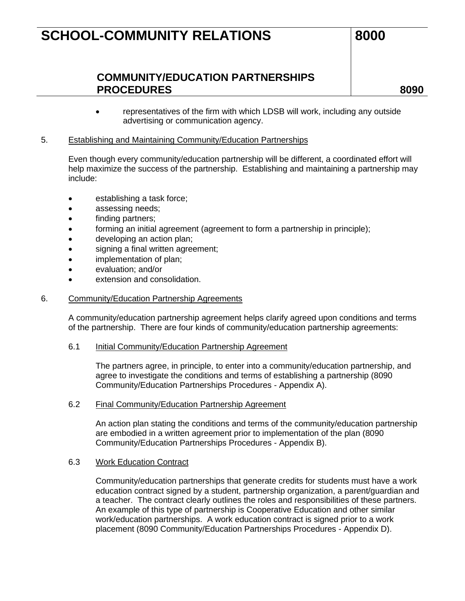## **COMMUNITY/EDUCATION PARTNERSHIPS**  PROCEDURES 8090

• representatives of the firm with which LDSB will work, including any outside advertising or communication agency.

### 5. Establishing and Maintaining Community/Education Partnerships

Even though every community/education partnership will be different, a coordinated effort will help maximize the success of the partnership. Establishing and maintaining a partnership may include:

- establishing a task force;
- assessing needs;
- finding partners;
- forming an initial agreement (agreement to form a partnership in principle);
- developing an action plan;
- signing a final written agreement;
- implementation of plan;
- evaluation; and/or
- extension and consolidation.

#### 6. Community/Education Partnership Agreements

A community/education partnership agreement helps clarify agreed upon conditions and terms of the partnership. There are four kinds of community/education partnership agreements:

#### 6.1 Initial Community/Education Partnership Agreement

The partners agree, in principle, to enter into a community/education partnership, and agree to investigate the conditions and terms of establishing a partnership (8090 Community/Education Partnerships Procedures - Appendix A).

#### 6.2 Final Community/Education Partnership Agreement

An action plan stating the conditions and terms of the community/education partnership are embodied in a written agreement prior to implementation of the plan (8090 Community/Education Partnerships Procedures - Appendix B).

#### 6.3 Work Education Contract

Community/education partnerships that generate credits for students must have a work education contract signed by a student, partnership organization, a parent/guardian and a teacher. The contract clearly outlines the roles and responsibilities of these partners. An example of this type of partnership is Cooperative Education and other similar work/education partnerships. A work education contract is signed prior to a work placement (8090 Community/Education Partnerships Procedures - Appendix D).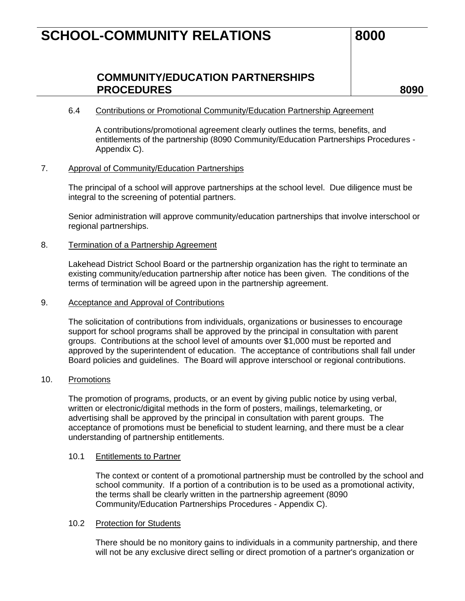## **COMMUNITY/EDUCATION PARTNERSHIPS**  PROCEDURES 8090

#### 6.4 Contributions or Promotional Community/Education Partnership Agreement

A contributions/promotional agreement clearly outlines the terms, benefits, and entitlements of the partnership (8090 Community/Education Partnerships Procedures - Appendix C).

#### 7. Approval of Community/Education Partnerships

The principal of a school will approve partnerships at the school level. Due diligence must be integral to the screening of potential partners.

Senior administration will approve community/education partnerships that involve interschool or regional partnerships.

#### 8. Termination of a Partnership Agreement

Lakehead District School Board or the partnership organization has the right to terminate an existing community/education partnership after notice has been given. The conditions of the terms of termination will be agreed upon in the partnership agreement.

#### 9. Acceptance and Approval of Contributions

The solicitation of contributions from individuals, organizations or businesses to encourage support for school programs shall be approved by the principal in consultation with parent groups. Contributions at the school level of amounts over \$1,000 must be reported and approved by the superintendent of education. The acceptance of contributions shall fall under Board policies and guidelines. The Board will approve interschool or regional contributions.

#### 10. Promotions

The promotion of programs, products, or an event by giving public notice by using verbal, written or electronic/digital methods in the form of posters, mailings, telemarketing, or advertising shall be approved by the principal in consultation with parent groups. The acceptance of promotions must be beneficial to student learning, and there must be a clear understanding of partnership entitlements.

#### 10.1 Entitlements to Partner

The context or content of a promotional partnership must be controlled by the school and school community. If a portion of a contribution is to be used as a promotional activity, the terms shall be clearly written in the partnership agreement (8090 Community/Education Partnerships Procedures - Appendix C).

#### 10.2 Protection for Students

There should be no monitory gains to individuals in a community partnership, and there will not be any exclusive direct selling or direct promotion of a partner's organization or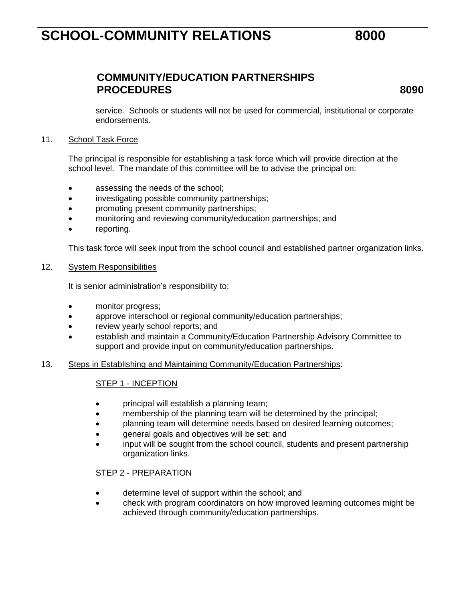## **COMMUNITY/EDUCATION PARTNERSHIPS**  PROCEDURES 8090

service. Schools or students will not be used for commercial, institutional or corporate endorsements.

#### 11. School Task Force

The principal is responsible for establishing a task force which will provide direction at the school level. The mandate of this committee will be to advise the principal on:

- assessing the needs of the school;
- investigating possible community partnerships;
- promoting present community partnerships;
- monitoring and reviewing community/education partnerships; and
- reporting.

This task force will seek input from the school council and established partner organization links.

#### 12. System Responsibilities

It is senior administration's responsibility to:

- monitor progress;
- approve interschool or regional community/education partnerships;
- review yearly school reports; and
- establish and maintain a Community/Education Partnership Advisory Committee to support and provide input on community/education partnerships.
- 13. Steps in Establishing and Maintaining Community/Education Partnerships:

### STEP 1 - INCEPTION

- principal will establish a planning team;
- membership of the planning team will be determined by the principal;
- planning team will determine needs based on desired learning outcomes;
- general goals and objectives will be set; and
- input will be sought from the school council, students and present partnership organization links.

#### STEP 2 - PREPARATION

- determine level of support within the school; and
- check with program coordinators on how improved learning outcomes might be achieved through community/education partnerships.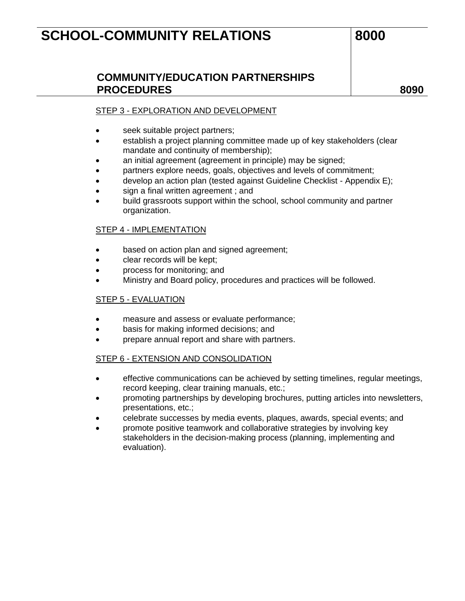## **COMMUNITY/EDUCATION PARTNERSHIPS**  PROCEDURES 8090

### STEP 3 - EXPLORATION AND DEVELOPMENT

- seek suitable project partners;
- establish a project planning committee made up of key stakeholders (clear mandate and continuity of membership);
- an initial agreement (agreement in principle) may be signed;
- partners explore needs, goals, objectives and levels of commitment;
- develop an action plan (tested against Guideline Checklist Appendix E);
- sign a final written agreement; and
- build grassroots support within the school, school community and partner organization.

#### STEP 4 - IMPLEMENTATION

- based on action plan and signed agreement;
- clear records will be kept;
- process for monitoring; and
- Ministry and Board policy, procedures and practices will be followed.

#### STEP 5 - EVALUATION

- measure and assess or evaluate performance;
- basis for making informed decisions; and
- prepare annual report and share with partners.

#### STEP 6 - EXTENSION AND CONSOLIDATION

- effective communications can be achieved by setting timelines, regular meetings, record keeping, clear training manuals, etc.;
- promoting partnerships by developing brochures, putting articles into newsletters, presentations, etc.;
- celebrate successes by media events, plaques, awards, special events; and
- promote positive teamwork and collaborative strategies by involving key stakeholders in the decision-making process (planning, implementing and evaluation).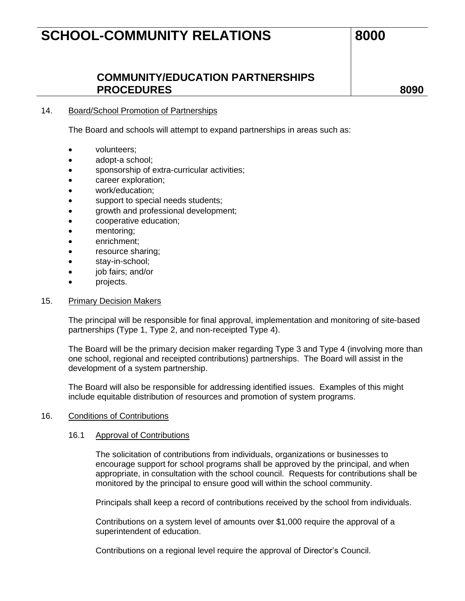### **COMMUNITY/EDUCATION PARTNERSHIPS**  PROCEDURES 8090

#### 14. Board/School Promotion of Partnerships

The Board and schools will attempt to expand partnerships in areas such as:

- volunteers;
- adopt-a school;
- sponsorship of extra-curricular activities;
- career exploration;
- work/education;
- support to special needs students;
- growth and professional development;
- cooperative education;
- mentoring;
- enrichment;
- resource sharing;
- stay-in-school;
- job fairs; and/or
- projects.

#### 15. Primary Decision Makers

The principal will be responsible for final approval, implementation and monitoring of site-based partnerships (Type 1, Type 2, and non-receipted Type 4).

The Board will be the primary decision maker regarding Type 3 and Type 4 (involving more than one school, regional and receipted contributions) partnerships. The Board will assist in the development of a system partnership.

The Board will also be responsible for addressing identified issues. Examples of this might include equitable distribution of resources and promotion of system programs.

#### 16. Conditions of Contributions

#### 16.1 Approval of Contributions

The solicitation of contributions from individuals, organizations or businesses to encourage support for school programs shall be approved by the principal, and when appropriate, in consultation with the school council. Requests for contributions shall be monitored by the principal to ensure good will within the school community.

Principals shall keep a record of contributions received by the school from individuals.

Contributions on a system level of amounts over \$1,000 require the approval of a superintendent of education.

Contributions on a regional level require the approval of Director's Council.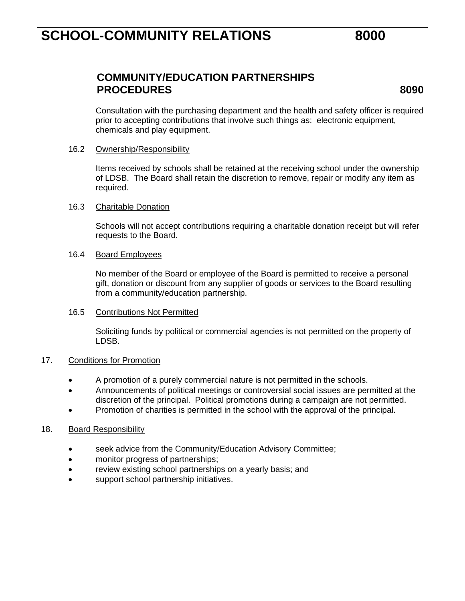## **COMMUNITY/EDUCATION PARTNERSHIPS**  PROCEDURES 8090

Consultation with the purchasing department and the health and safety officer is required prior to accepting contributions that involve such things as: electronic equipment, chemicals and play equipment.

#### 16.2 Ownership/Responsibility

Items received by schools shall be retained at the receiving school under the ownership of LDSB. The Board shall retain the discretion to remove, repair or modify any item as required.

#### 16.3 Charitable Donation

Schools will not accept contributions requiring a charitable donation receipt but will refer requests to the Board.

#### 16.4 Board Employees

No member of the Board or employee of the Board is permitted to receive a personal gift, donation or discount from any supplier of goods or services to the Board resulting from a community/education partnership.

#### 16.5 Contributions Not Permitted

Soliciting funds by political or commercial agencies is not permitted on the property of LDSB.

#### 17. Conditions for Promotion

- A promotion of a purely commercial nature is not permitted in the schools.
- Announcements of political meetings or controversial social issues are permitted at the discretion of the principal. Political promotions during a campaign are not permitted.
- Promotion of charities is permitted in the school with the approval of the principal.

#### 18. Board Responsibility

- seek advice from the Community/Education Advisory Committee;
- monitor progress of partnerships;
- review existing school partnerships on a yearly basis; and
- support school partnership initiatives.